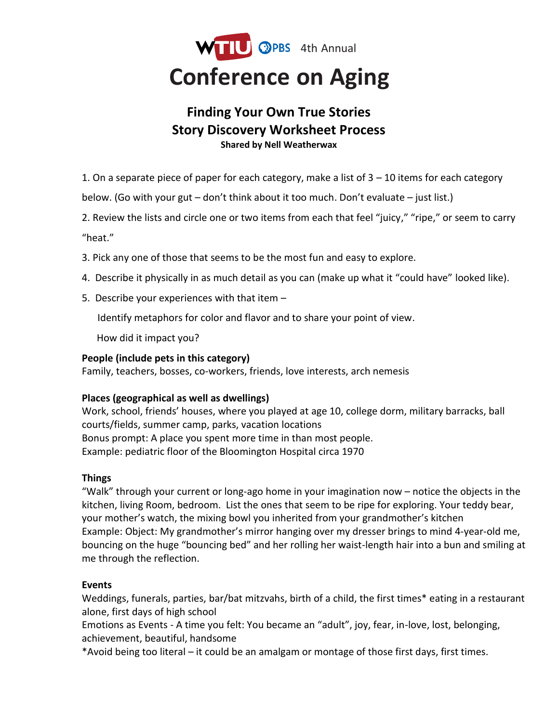

# **Finding Your Own True Stories Story Discovery Worksheet Process Shared by Nell Weatherwax**

1. On a separate piece of paper for each category, make a list of 3 – 10 items for each category

below. (Go with your gut – don't think about it too much. Don't evaluate – just list.)

2. Review the lists and circle one or two items from each that feel "juicy," "ripe," or seem to carry "heat."

- 3. Pick any one of those that seems to be the most fun and easy to explore.
- 4. Describe it physically in as much detail as you can (make up what it "could have" looked like).
- 5. Describe your experiences with that item –

Identify metaphors for color and flavor and to share your point of view.

How did it impact you?

#### **People (include pets in this category)**

Family, teachers, bosses, co-workers, friends, love interests, arch nemesis

### **Places (geographical as well as dwellings)**

Work, school, friends' houses, where you played at age 10, college dorm, military barracks, ball courts/fields, summer camp, parks, vacation locations Bonus prompt: A place you spent more time in than most people. Example: pediatric floor of the Bloomington Hospital circa 1970

### **Things**

"Walk" through your current or long-ago home in your imagination now – notice the objects in the kitchen, living Room, bedroom. List the ones that seem to be ripe for exploring. Your teddy bear, your mother's watch, the mixing bowl you inherited from your grandmother's kitchen Example: Object: My grandmother's mirror hanging over my dresser brings to mind 4-year-old me, bouncing on the huge "bouncing bed" and her rolling her waist-length hair into a bun and smiling at me through the reflection.

### **Events**

Weddings, funerals, parties, bar/bat mitzvahs, birth of a child, the first times\* eating in a restaurant alone, first days of high school

Emotions as Events - A time you felt: You became an "adult", joy, fear, in-love, lost, belonging, achievement, beautiful, handsome

\*Avoid being too literal – it could be an amalgam or montage of those first days, first times.